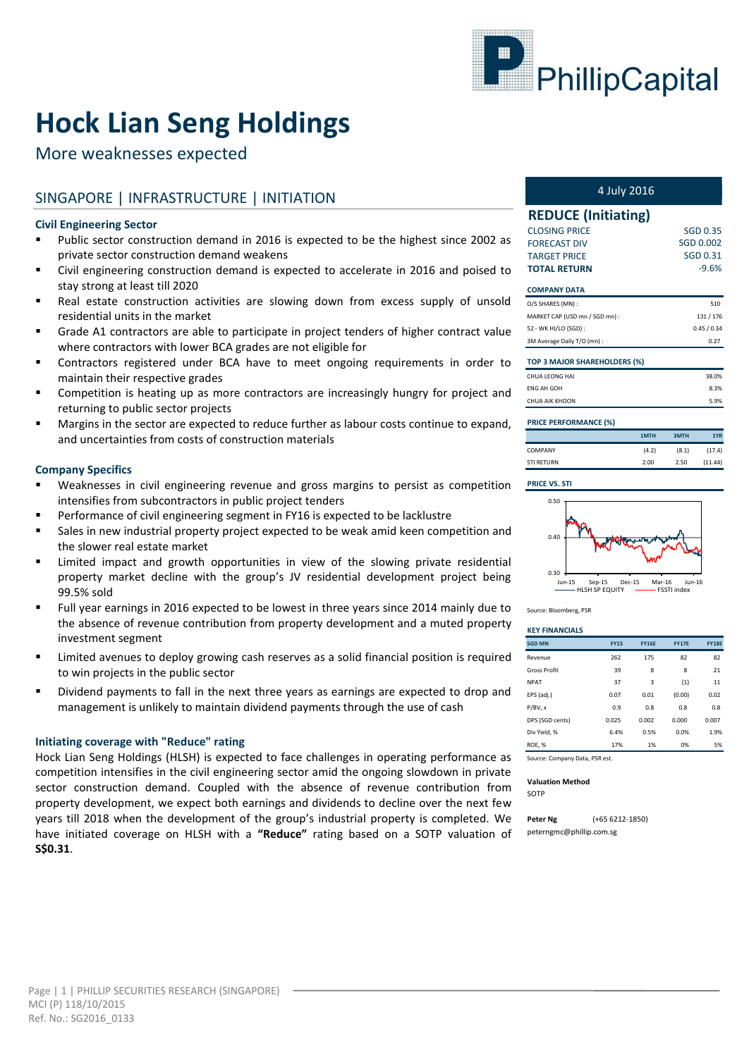

# **Hock Lian Seng Holdings**

More weaknesses expected

# SINGAPORE | INFRASTRUCTURE | INITIATION

#### **Civil Engineering Sector**

- Public sector construction demand in 2016 is expected to be the highest since 2002 as private sector construction demand weakens
- Civil engineering construction demand is expected to accelerate in 2016 and poised to stay strong at least till 2020
- Real estate construction activities are slowing down from excess supply of unsold residential units in the market
- Grade A1 contractors are able to participate in project tenders of higher contract value where contractors with lower BCA grades are not eligible for
- Contractors registered under BCA have to meet ongoing requirements in order to maintain their respective grades
- Competition is heating up as more contractors are increasingly hungry for project and returning to public sector projects
- **Margins in the sector are expected to reduce further as labour costs continue to expand,** and uncertainties from costs of construction materials

#### **Company Specifics**

- Weaknesses in civil engineering revenue and gross margins to persist as competition intensifies from subcontractors in public project tenders
- Performance of civil engineering segment in FY16 is expected to be lacklustre
- Sales in new industrial property project expected to be weak amid keen competition and the slower real estate market
- Limited impact and growth opportunities in view of the slowing private residential property market decline with the group's JV residential development project being 99.5% sold
- Full year earnings in 2016 expected to be lowest in three years since 2014 mainly due to the absence of revenue contribution from property development and a muted property investment segment
- Limited avenues to deploy growing cash reserves as a solid financial position is required to win projects in the public sector
- Dividend payments to fall in the next three years as earnings are expected to drop and management is unlikely to maintain dividend payments through the use of cash

#### **Initiating coverage with "Reduce" rating**

Hock Lian Seng Holdings (HLSH) is expected to face challenges in operating performance as competition intensifies in the civil engineering sector amid the ongoing slowdown in private sector construction demand. Coupled with the absence of revenue contribution from property development, we expect both earnings and dividends to decline over the next few years till 2018 when the development of the group's industrial property is completed. We have initiated coverage on HLSH with a **"Reduce"** rating based on a SOTP valuation of **S\$0.31**.

| 4 July 2016 |  |
|-------------|--|
|-------------|--|

| <b>REDUCE (Initiating)</b>          |                 |
|-------------------------------------|-----------------|
| <b>CLOSING PRICE</b>                | <b>SGD 0.35</b> |
| <b>FORECAST DIV</b>                 | SGD 0.002       |
| <b>TARGET PRICE</b>                 | SGD 0.31        |
| <b>TOTAL RETURN</b>                 | $-9.6%$         |
| <b>COMPANY DATA</b>                 |                 |
| O/S SHARES (MN):                    | 510             |
| MARKET CAP (USD mn / SGD mn) :      | 131/176         |
| 52 - WK HI/LO (SGD) :               | 0.45/0.34       |
| 3M Average Daily T/O (mn) :         | 0.27            |
| <b>TOP 3 MAJOR SHAREHOLDERS (%)</b> |                 |
| <b>CHUA LEONG HAI</b>               | 38.0%           |
| <b>ENG AH GOH</b>                   | 8.3%            |

| <b>PRICE PERFORMANCE (%)</b> |       |       |         |
|------------------------------|-------|-------|---------|
|                              | 1MTH  | 3MTH  | 1YR     |
| COMPANY                      | (4.2) | (8.1) | (17.4)  |
| <b>STI RETURN</b>            | 2.00  | 2.50  | (11.44) |

5.9%

#### **PRICE VS. STI**

CHUA AIK KHOON



Source: Bloomberg, PSR

#### **KEY FINANCIALS**

| <b>SGD MN</b>                  | <b>FY15</b> | <b>FY16E</b> | <b>FY17E</b> | <b>FY18E</b> |
|--------------------------------|-------------|--------------|--------------|--------------|
| Revenue                        | 262         | 175          | 82           | 82           |
| <b>Gross Profit</b>            | 39          | 8            | 8            | 21           |
| <b>NPAT</b>                    | 37          | 3            | (1)          | 11           |
| EPS (adj.)                     | 0.07        | 0.01         | (0.00)       | 0.02         |
| P/BV. x                        | 0.9         | 0.8          | 0.8          | 0.8          |
| DPS (SGD cents)                | 0.025       | 0.002        | 0.000        | 0.007        |
| Div Yield, %                   | 6.4%        | 0.5%         | 0.0%         | 1.9%         |
| <b>ROE. %</b>                  | 17%         | 1%           | 0%           | 5%           |
| Source: Company Data, PSR est. |             |              |              |              |

**Valuation Method**

SOTP

**Peter Ng** (+65 6212-1850) peterngmc@phillip.com.sg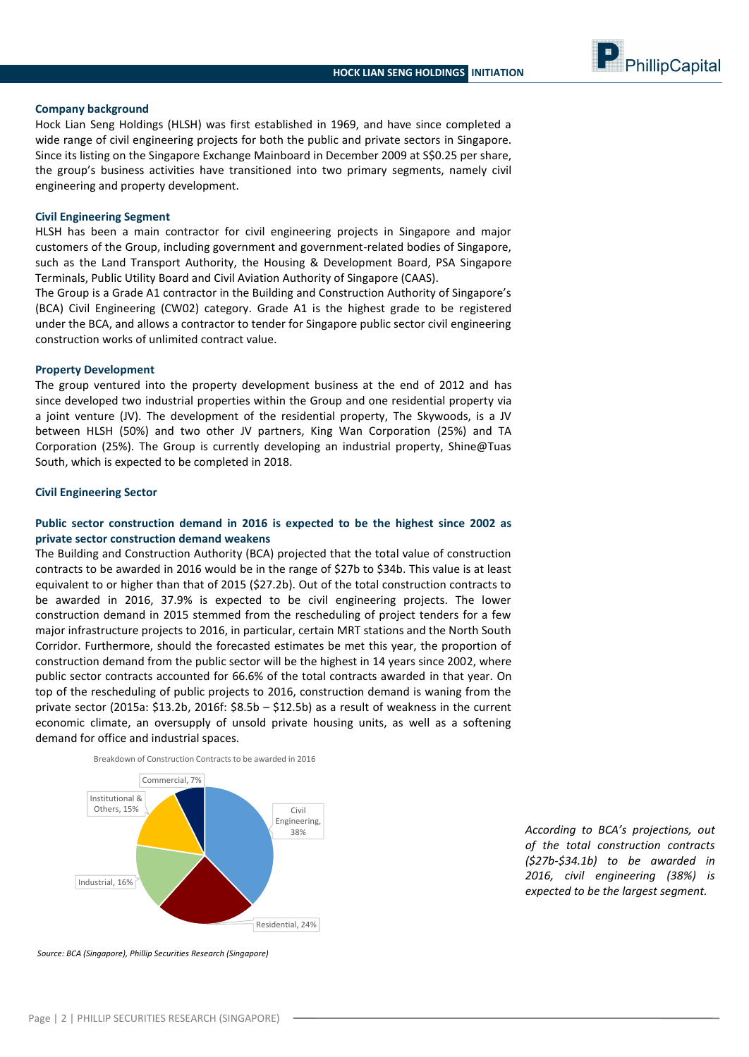#### **Company background**

Hock Lian Seng Holdings (HLSH) was first established in 1969, and have since completed a wide range of civil engineering projects for both the public and private sectors in Singapore. Since its listing on the Singapore Exchange Mainboard in December 2009 at S\$0.25 per share, the group's business activities have transitioned into two primary segments, namely civil engineering and property development.

#### **Civil Engineering Segment**

HLSH has been a main contractor for civil engineering projects in Singapore and major customers of the Group, including government and government-related bodies of Singapore, such as the Land Transport Authority, the Housing & Development Board, PSA Singapore Terminals, Public Utility Board and Civil Aviation Authority of Singapore (CAAS).

The Group is a Grade A1 contractor in the Building and Construction Authority of Singapore's (BCA) Civil Engineering (CW02) category. Grade A1 is the highest grade to be registered under the BCA, and allows a contractor to tender for Singapore public sector civil engineering construction works of unlimited contract value.

#### **Property Development**

The group ventured into the property development business at the end of 2012 and has since developed two industrial properties within the Group and one residential property via a joint venture (JV). The development of the residential property, The Skywoods, is a JV between HLSH (50%) and two other JV partners, King Wan Corporation (25%) and TA Corporation (25%). The Group is currently developing an industrial property, Shine@Tuas South, which is expected to be completed in 2018.

#### **Civil Engineering Sector**

#### **Public sector construction demand in 2016 is expected to be the highest since 2002 as private sector construction demand weakens**

The Building and Construction Authority (BCA) projected that the total value of construction contracts to be awarded in 2016 would be in the range of \$27b to \$34b. This value is at least equivalent to or higher than that of 2015 (\$27.2b). Out of the total construction contracts to be awarded in 2016, 37.9% is expected to be civil engineering projects. The lower construction demand in 2015 stemmed from the rescheduling of project tenders for a few major infrastructure projects to 2016, in particular, certain MRT stations and the North South Corridor. Furthermore, should the forecasted estimates be met this year, the proportion of construction demand from the public sector will be the highest in 14 years since 2002, where public sector contracts accounted for 66.6% of the total contracts awarded in that year. On top of the rescheduling of public projects to 2016, construction demand is waning from the private sector (2015a: \$13.2b, 2016f: \$8.5b – \$12.5b) as a result of weakness in the current economic climate, an oversupply of unsold private housing units, as well as a softening demand for office and industrial spaces.



*According to BCA's projections, out of the total construction contracts (\$27b-\$34.1b) to be awarded in 2016, civil engineering (38%) is expected to be the largest segment.*

PhillipCapital

*Source: BCA (Singapore), Phillip Securities Research (Singapore)*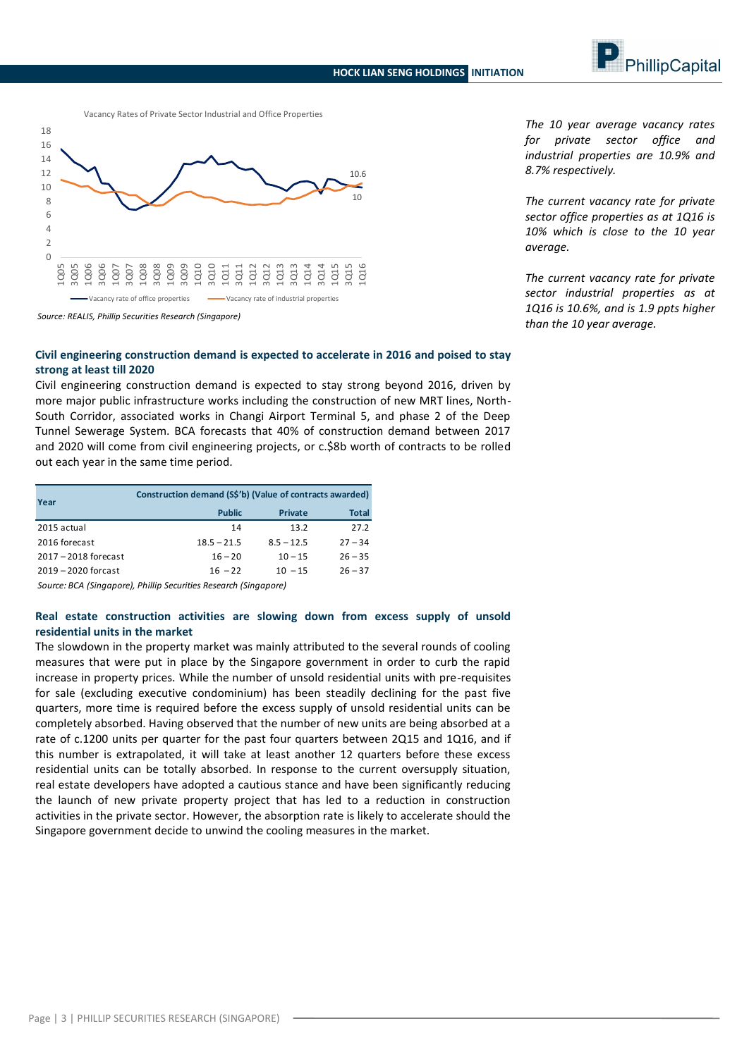



Vacancy Rates of Private Sector Industrial and Office Properties

*Source: REALIS, Phillip Securities Research (Singapore)*

#### **Civil engineering construction demand is expected to accelerate in 2016 and poised to stay strong at least till 2020**

Civil engineering construction demand is expected to stay strong beyond 2016, driven by more major public infrastructure works including the construction of new MRT lines, North-South Corridor, associated works in Changi Airport Terminal 5, and phase 2 of the Deep Tunnel Sewerage System. BCA forecasts that 40% of construction demand between 2017 and 2020 will come from civil engineering projects, or c.\$8b worth of contracts to be rolled out each year in the same time period.

| Year                   | Construction demand (S\$'b) (Value of contracts awarded) |                |              |
|------------------------|----------------------------------------------------------|----------------|--------------|
|                        | <b>Public</b>                                            | <b>Private</b> | <b>Total</b> |
| 2015 actual            | 14                                                       | 13.2           | 27.2         |
| 2016 forecast          | $18.5 - 21.5$                                            | $8.5 - 12.5$   | $27 - 34$    |
| $2017 - 2018$ forecast | $16 - 20$                                                | $10 - 15$      | $26 - 35$    |
| $2019 - 2020$ forcast  | $16 - 22$                                                | $10 - 15$      | $26 - 37$    |

*Source: BCA (Singapore), Phillip Securities Research (Singapore)*

## **Real estate construction activities are slowing down from excess supply of unsold residential units in the market**

The slowdown in the property market was mainly attributed to the several rounds of cooling measures that were put in place by the Singapore government in order to curb the rapid increase in property prices. While the number of unsold residential units with pre-requisites for sale (excluding executive condominium) has been steadily declining for the past five quarters, more time is required before the excess supply of unsold residential units can be completely absorbed. Having observed that the number of new units are being absorbed at a rate of c.1200 units per quarter for the past four quarters between 2Q15 and 1Q16, and if this number is extrapolated, it will take at least another 12 quarters before these excess residential units can be totally absorbed. In response to the current oversupply situation, real estate developers have adopted a cautious stance and have been significantly reducing the launch of new private property project that has led to a reduction in construction activities in the private sector. However, the absorption rate is likely to accelerate should the Singapore government decide to unwind the cooling measures in the market.

*The 10 year average vacancy rates for private sector office and industrial properties are 10.9% and 8.7% respectively.* 

*The current vacancy rate for private sector office properties as at 1Q16 is 10% which is close to the 10 year average.*

*The current vacancy rate for private sector industrial properties as at 1Q16 is 10.6%, and is 1.9 ppts higher than the 10 year average.*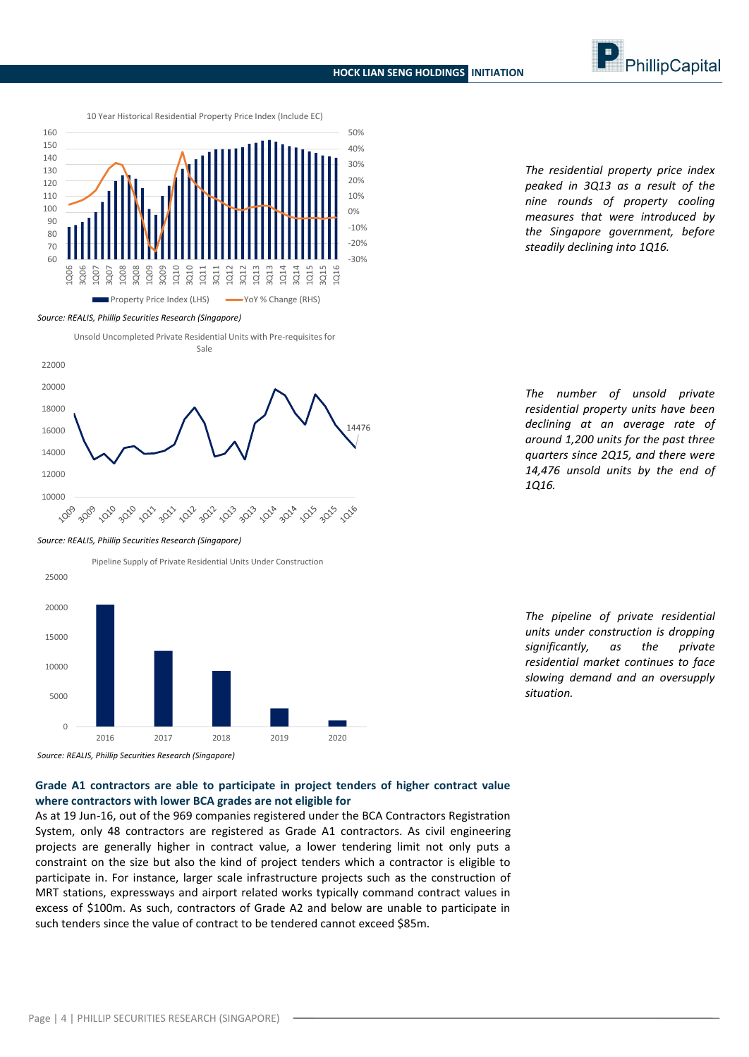10 Year Historical Residential Property Price Index (Include EC)



*Source: REALIS, Phillip Securities Research (Singapore)*





*Source: REALIS, Phillip Securities Research (Singapore)*



*measures that were introduced by the Singapore government, before steadily declining into 1Q16.*

*The residential property price index peaked in 3Q13 as a result of the nine rounds of property cooling* 

*The number of unsold private residential property units have been declining at an average rate of around 1,200 units for the past three quarters since 2Q15, and there were 14,476 unsold units by the end of 1Q16.*

*The pipeline of private residential units under construction is dropping significantly, as the private residential market continues to face slowing demand and an oversupply situation.*

## **where contractors with lower BCA grades are not eligible for**

As at 19 Jun-16, out of the 969 companies registered under the BCA Contractors Registration System, only 48 contractors are registered as Grade A1 contractors. As civil engineering projects are generally higher in contract value, a lower tendering limit not only puts a constraint on the size but also the kind of project tenders which a contractor is eligible to participate in. For instance, larger scale infrastructure projects such as the construction of MRT stations, expressways and airport related works typically command contract values in excess of \$100m. As such, contractors of Grade A2 and below are unable to participate in such tenders since the value of contract to be tendered cannot exceed \$85m.

Page | 4 | PHILLIP SECURITIES RESEARCH (SINGAPORE)



**Grade A1 contractors are able to participate in project tenders of higher contract value**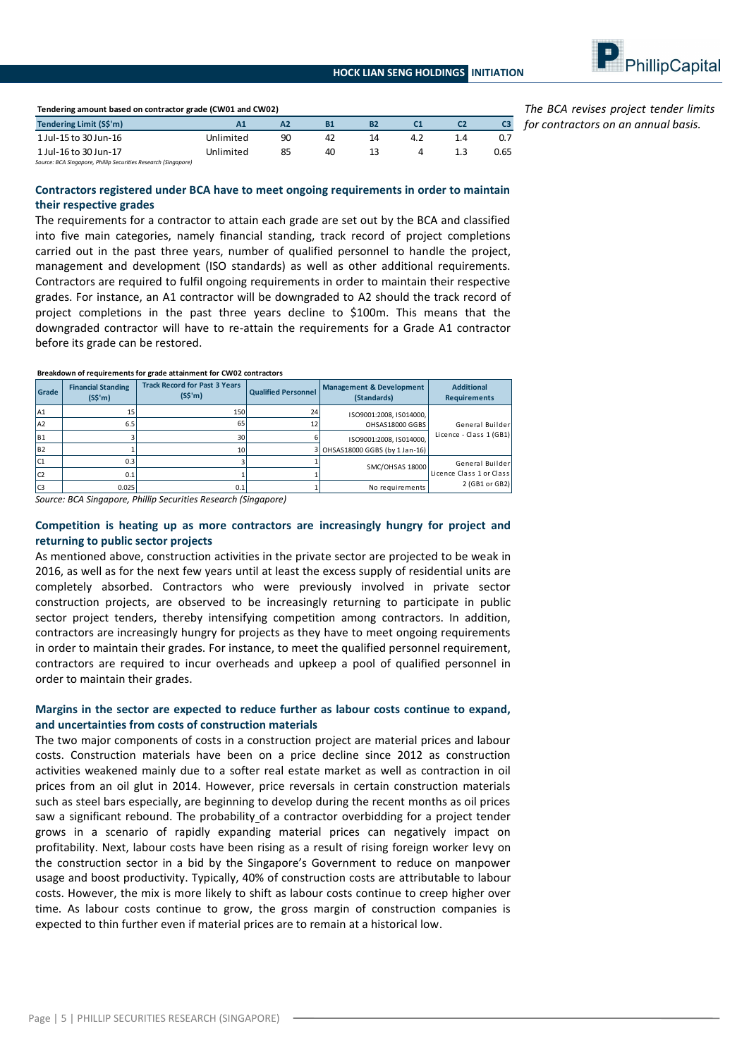

| Tendering amount based on contractor grade (CW01 and CW02)     |           |    |    |           |     |     |      |
|----------------------------------------------------------------|-----------|----|----|-----------|-----|-----|------|
| Tendering Limit (S\$'m)                                        | А1        | A2 | B1 | <b>B2</b> |     |     |      |
| 1 Jul-15 to 30 Jun-16                                          | Unlimited | 90 | 42 | 14        | 4.2 | 1.4 | 0.7  |
| 1 Jul-16 to 30 Jun-17                                          | Unlimited | 85 | 40 | 13        | 4   |     | 0.65 |
| Source: BCA Singapore, Phillip Securities Research (Singapore) |           |    |    |           |     |     |      |

*The BCA revises project tender limits for contractors on an annual basis.*

#### **Contractors registered under BCA have to meet ongoing requirements in order to maintain their respective grades**

The requirements for a contractor to attain each grade are set out by the BCA and classified into five main categories, namely financial standing, track record of project completions carried out in the past three years, number of qualified personnel to handle the project, management and development (ISO standards) as well as other additional requirements. Contractors are required to fulfil ongoing requirements in order to maintain their respective grades. For instance, an A1 contractor will be downgraded to A2 should the track record of project completions in the past three years decline to \$100m. This means that the downgraded contractor will have to re-attain the requirements for a Grade A1 contractor before its grade can be restored.

|                 |                                        | Breakdown of requirements for grade attainment for CW02 contractors |                            |                                                    |                                          |
|-----------------|----------------------------------------|---------------------------------------------------------------------|----------------------------|----------------------------------------------------|------------------------------------------|
| Grade           | <b>Financial Standing</b><br>$(S\sin)$ | <b>Track Record for Past 3 Years</b><br>$(S\sin)$                   | <b>Qualified Personnel</b> | <b>Management &amp; Development</b><br>(Standards) | <b>Additional</b><br><b>Requirements</b> |
| A <sub>1</sub>  | 15                                     | 150                                                                 | 24                         | ISO9001:2008. IS014000.                            |                                          |
| A <sub>2</sub>  | 6.5                                    | 65                                                                  | 12                         | OHSAS18000 GGBS                                    | General Builder                          |
| IB1             |                                        | 30                                                                  |                            | ISO9001:2008, IS014000,                            | Licence - Class 1 (GB1)                  |
| B <sub>2</sub>  |                                        | 10                                                                  |                            | 3 OHSAS18000 GGBS (by 1 Jan-16)                    |                                          |
| IC1             | 0.3                                    |                                                                     |                            | SMC/OHSAS 18000                                    | General Builder                          |
| IC <sub>2</sub> | 0.1                                    |                                                                     |                            |                                                    | Licence Class 1 or Class                 |
| Iсз             | 0.025                                  | 0.1                                                                 |                            | No requirements                                    | 2 (GB1 or GB2)                           |

#### **Breakdown of requirements for grade attainment for CW02 contractors**

*Source: BCA Singapore, Phillip Securities Research (Singapore)*

#### **Competition is heating up as more contractors are increasingly hungry for project and returning to public sector projects**

As mentioned above, construction activities in the private sector are projected to be weak in 2016, as well as for the next few years until at least the excess supply of residential units are completely absorbed. Contractors who were previously involved in private sector construction projects, are observed to be increasingly returning to participate in public sector project tenders, thereby intensifying competition among contractors. In addition, contractors are increasingly hungry for projects as they have to meet ongoing requirements in order to maintain their grades. For instance, to meet the qualified personnel requirement, contractors are required to incur overheads and upkeep a pool of qualified personnel in order to maintain their grades.

# **Margins in the sector are expected to reduce further as labour costs continue to expand, and uncertainties from costs of construction materials**

The two major components of costs in a construction project are material prices and labour costs. Construction materials have been on a price decline since 2012 as construction activities weakened mainly due to a softer real estate market as well as contraction in oil prices from an oil glut in 2014. However, price reversals in certain construction materials such as steel bars especially, are beginning to develop during the recent months as oil prices saw a significant rebound. The probability of a contractor overbidding for a project tender grows in a scenario of rapidly expanding material prices can negatively impact on profitability. Next, labour costs have been rising as a result of rising foreign worker levy on the construction sector in a bid by the Singapore's Government to reduce on manpower usage and boost productivity. Typically, 40% of construction costs are attributable to labour costs. However, the mix is more likely to shift as labour costs continue to creep higher over time. As labour costs continue to grow, the gross margin of construction companies is expected to thin further even if material prices are to remain at a historical low.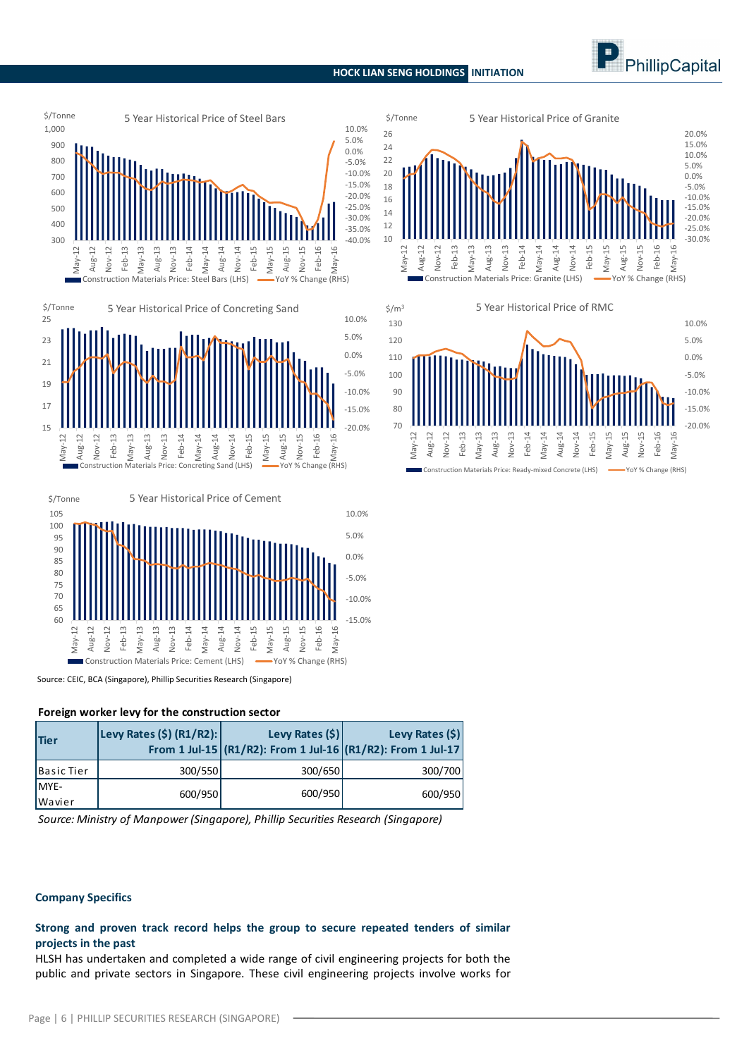#### **HOCK LIAN SENG HOLDINGS INITIATION**









Source: CEIC, BCA (Singapore), Phillip Securities Research (Singapore)

#### **Foreign worker levy for the construction sector**

| Tier              | Levy Rates (\$) (R1/R2): | Levy Rates $(\xi)$<br>From 1 Jul-15 (R1/R2): From 1 Jul-16 (R1/R2): From 1 Jul-17 | Levy Rates $(\xi)$ |
|-------------------|--------------------------|-----------------------------------------------------------------------------------|--------------------|
| <b>Basic Tier</b> | 300/550                  | 300/650                                                                           | 300/700            |
| MYE-              | 600/950                  | 600/950                                                                           | 600/950            |
| Wavier            |                          |                                                                                   |                    |

*Source: Ministry of Manpower (Singapore), Phillip Securities Research (Singapore)*

#### **Company Specifics**

# **Strong and proven track record helps the group to secure repeated tenders of similar projects in the past**

HLSH has undertaken and completed a wide range of civil engineering projects for both the public and private sectors in Singapore. These civil engineering projects involve works for



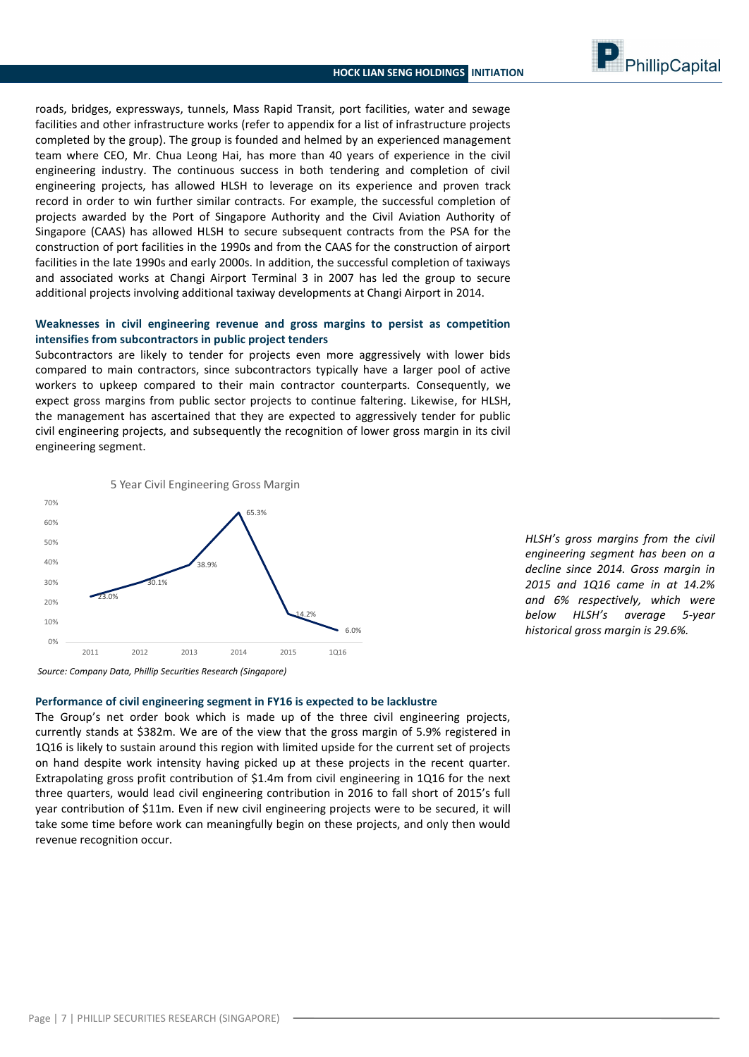PhillipCapital

roads, bridges, expressways, tunnels, Mass Rapid Transit, port facilities, water and sewage facilities and other infrastructure works (refer to appendix for a list of infrastructure projects completed by the group). The group is founded and helmed by an experienced management team where CEO, Mr. Chua Leong Hai, has more than 40 years of experience in the civil engineering industry. The continuous success in both tendering and completion of civil engineering projects, has allowed HLSH to leverage on its experience and proven track record in order to win further similar contracts. For example, the successful completion of projects awarded by the Port of Singapore Authority and the Civil Aviation Authority of Singapore (CAAS) has allowed HLSH to secure subsequent contracts from the PSA for the construction of port facilities in the 1990s and from the CAAS for the construction of airport facilities in the late 1990s and early 2000s. In addition, the successful completion of taxiways and associated works at Changi Airport Terminal 3 in 2007 has led the group to secure additional projects involving additional taxiway developments at Changi Airport in 2014.

## **Weaknesses in civil engineering revenue and gross margins to persist as competition intensifies from subcontractors in public project tenders**

Subcontractors are likely to tender for projects even more aggressively with lower bids compared to main contractors, since subcontractors typically have a larger pool of active workers to upkeep compared to their main contractor counterparts. Consequently, we expect gross margins from public sector projects to continue faltering. Likewise, for HLSH, the management has ascertained that they are expected to aggressively tender for public civil engineering projects, and subsequently the recognition of lower gross margin in its civil engineering segment.



*HLSH's gross margins from the civil engineering segment has been on a decline since 2014. Gross margin in 2015 and 1Q16 came in at 14.2% and 6% respectively, which were below HLSH's average 5-year historical gross margin is 29.6%.*

*Source: Company Data, Phillip Securities Research (Singapore)*

## **Performance of civil engineering segment in FY16 is expected to be lacklustre**

The Group's net order book which is made up of the three civil engineering projects, currently stands at \$382m. We are of the view that the gross margin of 5.9% registered in 1Q16 is likely to sustain around this region with limited upside for the current set of projects on hand despite work intensity having picked up at these projects in the recent quarter. Extrapolating gross profit contribution of \$1.4m from civil engineering in 1Q16 for the next three quarters, would lead civil engineering contribution in 2016 to fall short of 2015's full year contribution of \$11m. Even if new civil engineering projects were to be secured, it will take some time before work can meaningfully begin on these projects, and only then would revenue recognition occur.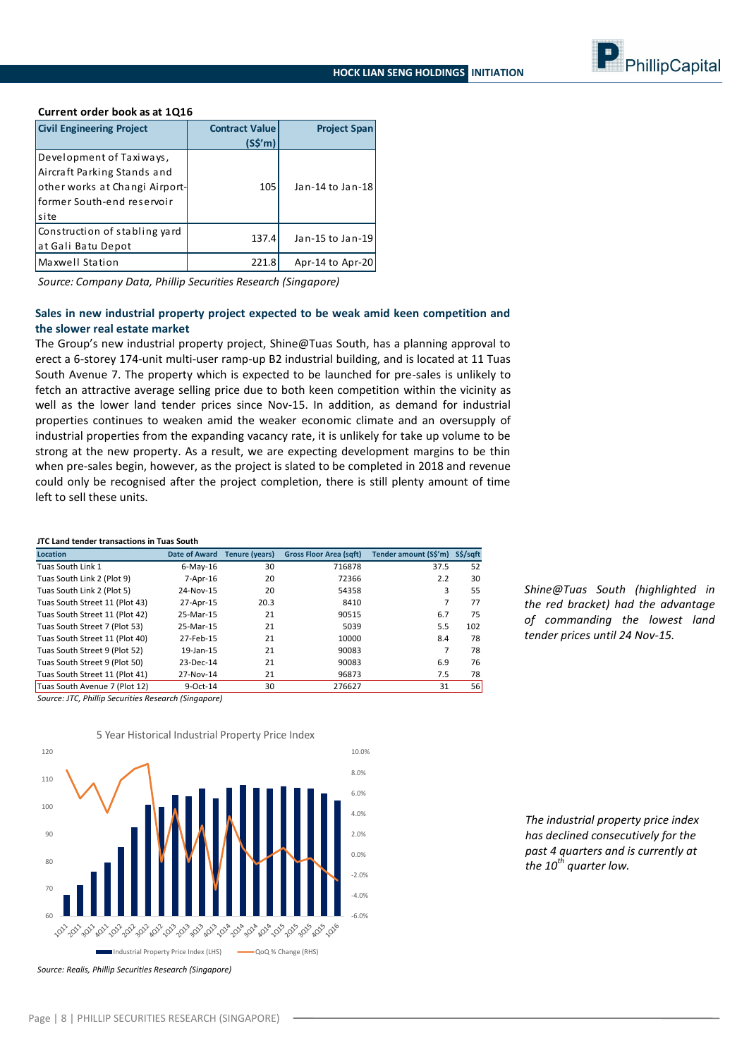

#### **Current order book as at 1Q16**

| <b>Civil Engineering Project</b>                                                                                                 | <b>Contract Value</b><br>$(S\sin)$ | <b>Project Span</b> |
|----------------------------------------------------------------------------------------------------------------------------------|------------------------------------|---------------------|
| Development of Taxiways,<br>Aircraft Parking Stands and<br>other works at Changi Airport-<br>lformer South-end reservoir<br>site | 105                                | Jan-14 to Jan-18    |
| Construction of stabling yard<br>at Gali Batu Depot                                                                              | 137.4                              | Jan-15 to Jan-19    |
| Maxwell Station                                                                                                                  | 221.8                              | Apr-14 to Apr-20    |

*Source: Company Data, Phillip Securities Research (Singapore)*

#### **Sales in new industrial property project expected to be weak amid keen competition and the slower real estate market**

The Group's new industrial property project, Shine@Tuas South, has a planning approval to erect a 6-storey 174-unit multi-user ramp-up B2 industrial building, and is located at 11 Tuas South Avenue 7. The property which is expected to be launched for pre-sales is unlikely to fetch an attractive average selling price due to both keen competition within the vicinity as well as the lower land tender prices since Nov-15. In addition, as demand for industrial properties continues to weaken amid the weaker economic climate and an oversupply of industrial properties from the expanding vacancy rate, it is unlikely for take up volume to be strong at the new property. As a result, we are expecting development margins to be thin when pre-sales begin, however, as the project is slated to be completed in 2018 and revenue could only be recognised after the project completion, there is still plenty amount of time left to sell these units.

#### **JTC Land tender transactions in Tuas South**

| <b>Location</b>                | <b>Date of Award</b> | <b>Tenure (years)</b> | <b>Gross Floor Area (sqft)</b> | Tender amount (S\$'m) | S\$/sqft |
|--------------------------------|----------------------|-----------------------|--------------------------------|-----------------------|----------|
| Tuas South Link 1              | $6$ -May-16          | 30                    | 716878                         | 37.5                  | 52       |
| Tuas South Link 2 (Plot 9)     | 7-Apr-16             | 20                    | 72366                          | 2.2                   | 30       |
| Tuas South Link 2 (Plot 5)     | 24-Nov-15            | 20                    | 54358                          | 3                     | 55       |
| Tuas South Street 11 (Plot 43) | 27-Apr-15            | 20.3                  | 8410                           | 7                     | 77       |
| Tuas South Street 11 (Plot 42) | 25-Mar-15            | 21                    | 90515                          | 6.7                   | 75       |
| Tuas South Street 7 (Plot 53)  | 25-Mar-15            | 21                    | 5039                           | 5.5                   | 102      |
| Tuas South Street 11 (Plot 40) | 27-Feb-15            | 21                    | 10000                          | 8.4                   | 78       |
| Tuas South Street 9 (Plot 52)  | 19-Jan-15            | 21                    | 90083                          | 7                     | 78       |
| Tuas South Street 9 (Plot 50)  | 23-Dec-14            | 21                    | 90083                          | 6.9                   | 76       |
| Tuas South Street 11 (Plot 41) | 27-Nov-14            | 21                    | 96873                          | 7.5                   | 78       |
| Tuas South Avenue 7 (Plot 12)  | 9-Oct-14             | 30                    | 276627                         | 31                    | 56       |

*Shine@Tuas South (highlighted in the red bracket) had the advantage of commanding the lowest land tender prices until 24 Nov-15.* 

*Source: JTC, Phillip Securities Research (Singapore)*



<sup>5</sup> Year Historical Industrial Property Price Index

*The industrial property price index has declined consecutively for the past 4 quarters and is currently at the 10th quarter low.*

*Source: Realis, Phillip Securities Research (Singapore)*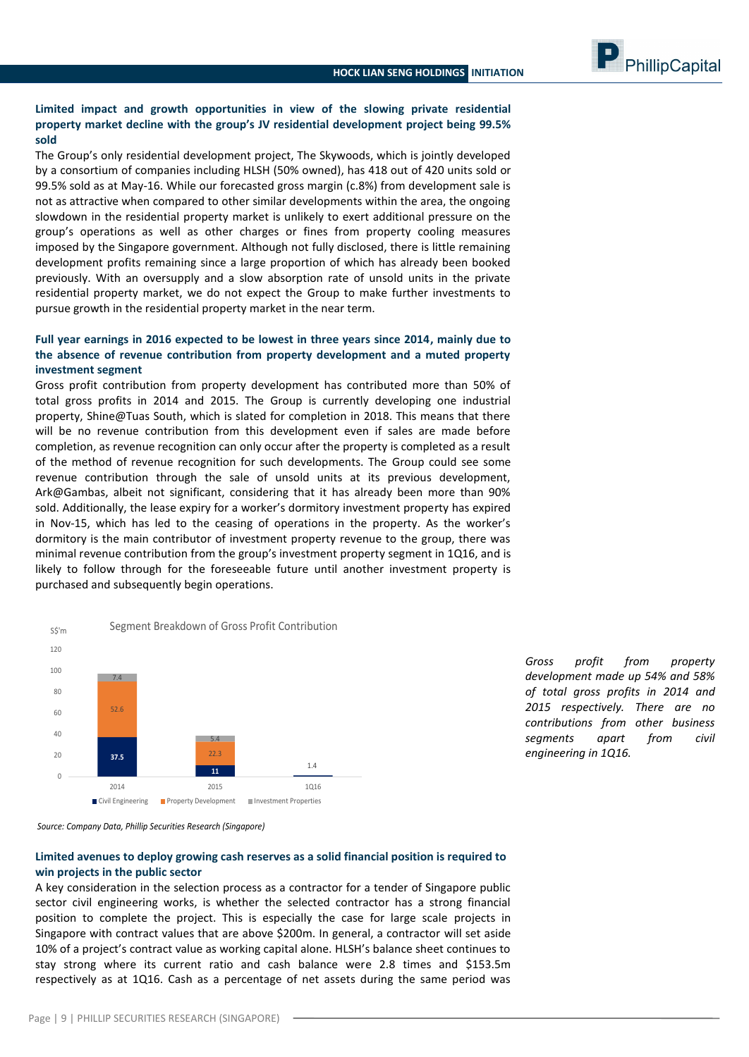# **Limited impact and growth opportunities in view of the slowing private residential property market decline with the group's JV residential development project being 99.5% sold**

The Group's only residential development project, The Skywoods, which is jointly developed by a consortium of companies including HLSH (50% owned), has 418 out of 420 units sold or 99.5% sold as at May-16. While our forecasted gross margin (c.8%) from development sale is not as attractive when compared to other similar developments within the area, the ongoing slowdown in the residential property market is unlikely to exert additional pressure on the group's operations as well as other charges or fines from property cooling measures imposed by the Singapore government. Although not fully disclosed, there is little remaining development profits remaining since a large proportion of which has already been booked previously. With an oversupply and a slow absorption rate of unsold units in the private residential property market, we do not expect the Group to make further investments to pursue growth in the residential property market in the near term.

# **Full year earnings in 2016 expected to be lowest in three years since 2014, mainly due to the absence of revenue contribution from property development and a muted property investment segment**

Gross profit contribution from property development has contributed more than 50% of total gross profits in 2014 and 2015. The Group is currently developing one industrial property, Shine@Tuas South, which is slated for completion in 2018. This means that there will be no revenue contribution from this development even if sales are made before completion, as revenue recognition can only occur after the property is completed as a result of the method of revenue recognition for such developments. The Group could see some revenue contribution through the sale of unsold units at its previous development, Ark@Gambas, albeit not significant, considering that it has already been more than 90% sold. Additionally, the lease expiry for a worker's dormitory investment property has expired in Nov-15, which has led to the ceasing of operations in the property. As the worker's dormitory is the main contributor of investment property revenue to the group, there was minimal revenue contribution from the group's investment property segment in 1Q16, and is likely to follow through for the foreseeable future until another investment property is purchased and subsequently begin operations.

**37.5 11** 1.4 52.6 วว ว 7.4 5.4 0 20 40  $60$ 80 100 120 2014 2015 1Q16 SS'm Segment Breakdown of Gross Profit Contribution ■ Civil Engineering ■ Property Development ■ Investment Properties

*Gross profit from property development made up 54% and 58% of total gross profits in 2014 and 2015 respectively. There are no contributions from other business segments apart from civil engineering in 1Q16.*



## **Limited avenues to deploy growing cash reserves as a solid financial position is required to win projects in the public sector**

A key consideration in the selection process as a contractor for a tender of Singapore public sector civil engineering works, is whether the selected contractor has a strong financial position to complete the project. This is especially the case for large scale projects in Singapore with contract values that are above \$200m. In general, a contractor will set aside 10% of a project's contract value as working capital alone. HLSH's balance sheet continues to stay strong where its current ratio and cash balance were 2.8 times and \$153.5m respectively as at 1Q16. Cash as a percentage of net assets during the same period was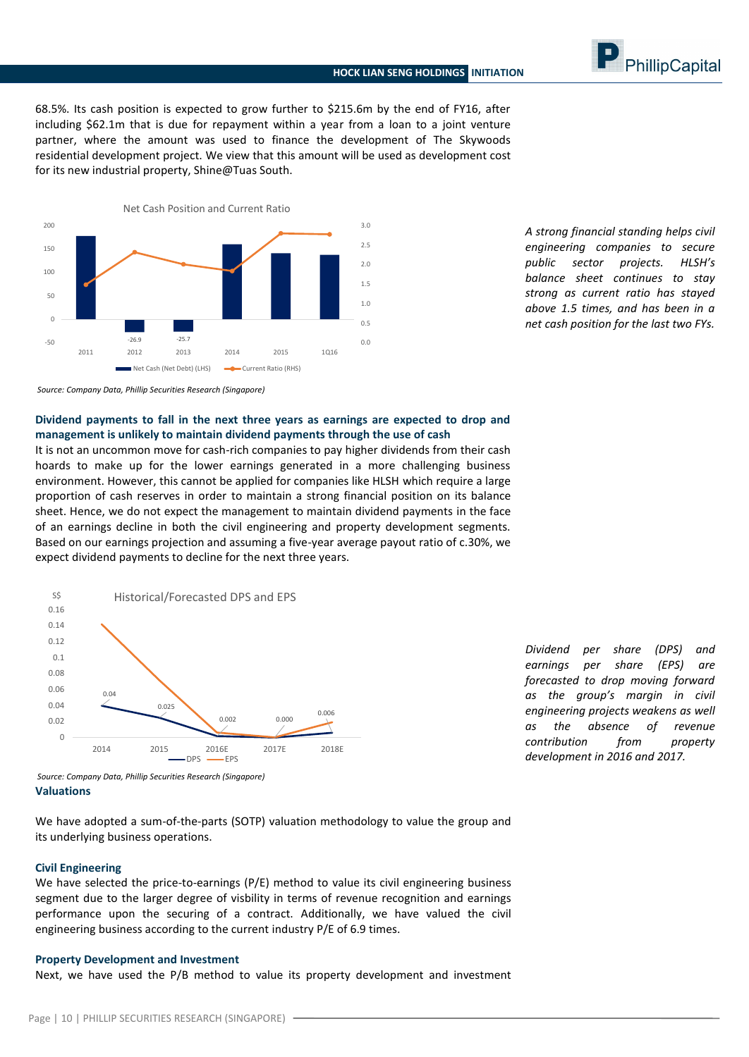PhillipCapital

68.5%. Its cash position is expected to grow further to \$215.6m by the end of FY16, after including \$62.1m that is due for repayment within a year from a loan to a joint venture partner, where the amount was used to finance the development of The Skywoods residential development project. We view that this amount will be used as development cost for its new industrial property, Shine@Tuas South.



*A strong financial standing helps civil engineering companies to secure public sector projects. HLSH's balance sheet continues to stay strong as current ratio has stayed above 1.5 times, and has been in a net cash position for the last two FYs.*

*Source: Company Data, Phillip Securities Research (Singapore)*

**Dividend payments to fall in the next three years as earnings are expected to drop and management is unlikely to maintain dividend payments through the use of cash**

It is not an uncommon move for cash-rich companies to pay higher dividends from their cash hoards to make up for the lower earnings generated in a more challenging business environment. However, this cannot be applied for companies like HLSH which require a large proportion of cash reserves in order to maintain a strong financial position on its balance sheet. Hence, we do not expect the management to maintain dividend payments in the face of an earnings decline in both the civil engineering and property development segments. Based on our earnings projection and assuming a five-year average payout ratio of c.30%, we expect dividend payments to decline for the next three years.



*Dividend per share (DPS) and earnings per share (EPS) are forecasted to drop moving forward as the group's margin in civil engineering projects weakens as well as the absence of revenue contribution from property development in 2016 and 2017.*

*Source: Company Data, Phillip Securities Research (Singapore)* **Valuations**

We have adopted a sum-of-the-parts (SOTP) valuation methodology to value the group and its underlying business operations.

#### **Civil Engineering**

We have selected the price-to-earnings (P/E) method to value its civil engineering business segment due to the larger degree of visbility in terms of revenue recognition and earnings performance upon the securing of a contract. Additionally, we have valued the civil engineering business according to the current industry P/E of 6.9 times.

#### **Property Development and Investment**

Next, we have used the P/B method to value its property development and investment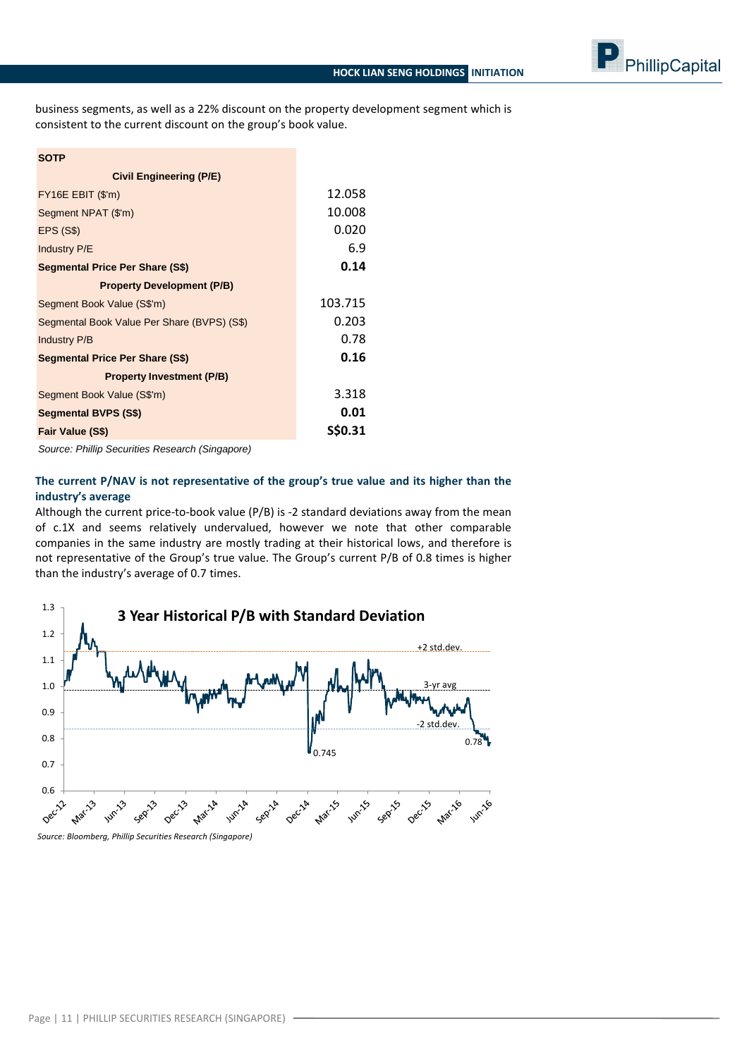

business segments, as well as a 22% discount on the property development segment which is consistent to the current discount on the group's book value.

| <b>SOTP</b>                                 |         |
|---------------------------------------------|---------|
| <b>Civil Engineering (P/E)</b>              |         |
| $FY16E$ EBIT $(\$'m)$                       | 12.058  |
| Segment NPAT (\$'m)                         | 10.008  |
| <b>EPS (S\$)</b>                            | 0.020   |
| Industry P/E                                | 6.9     |
| <b>Segmental Price Per Share (S\$)</b>      | 0.14    |
| <b>Property Development (P/B)</b>           |         |
| Segment Book Value (S\$'m)                  | 103.715 |
| Segmental Book Value Per Share (BVPS) (S\$) | 0.203   |
| <b>Industry P/B</b>                         | 0.78    |
| <b>Segmental Price Per Share (S\$)</b>      | 0.16    |
| <b>Property Investment (P/B)</b>            |         |
| Segment Book Value (S\$'m)                  | 3.318   |
| <b>Segmental BVPS (S\$)</b>                 | 0.01    |
| Fair Value (S\$)                            | S\$0.31 |

*Source: Phillip Securities Research (Singapore)*

# **The current P/NAV is not representative of the group's true value and its higher than the industry's average**

Although the current price-to-book value (P/B) is -2 standard deviations away from the mean of c.1X and seems relatively undervalued, however we note that other comparable companies in the same industry are mostly trading at their historical lows, and therefore is not representative of the Group's true value. The Group's current P/B of 0.8 times is higher than the industry's average of 0.7 times.



*Source: Bloomberg, Phillip Securities Research (Singapore)*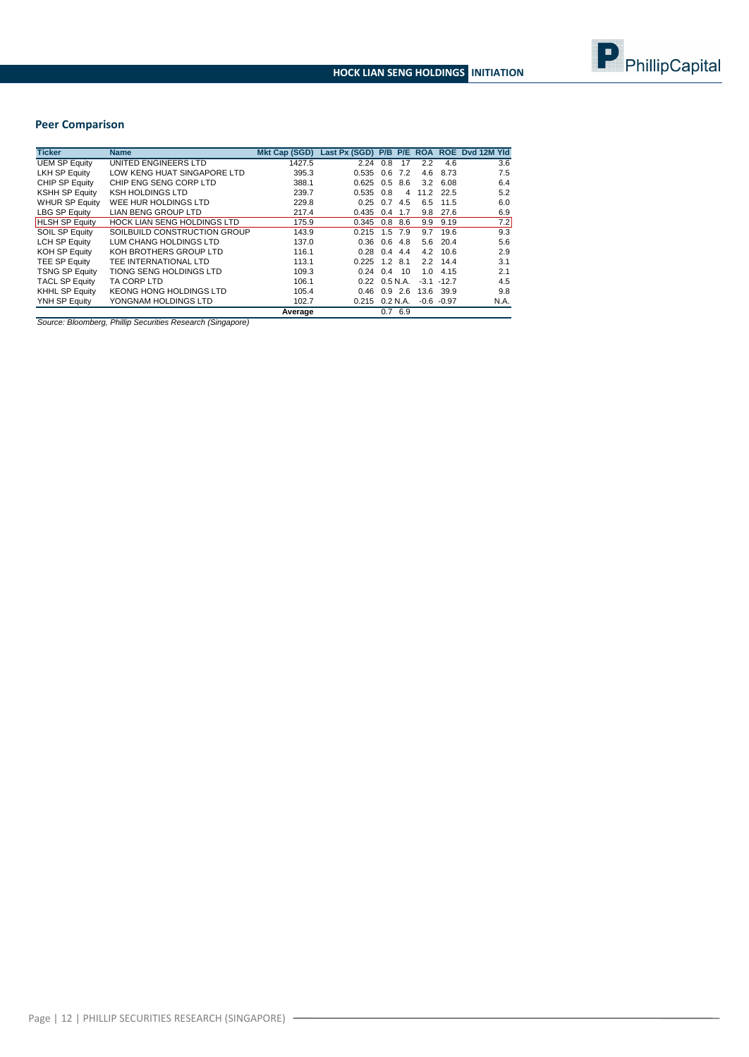

# **Peer Comparison**

| <b>Ticker</b>         | <b>Name</b>                        | <b>Mkt Cap (SGD)</b> | <b>Last Px (SGD)</b>          | P/B | P/E      | <b>ROA</b> | <b>ROE</b>    | Yld<br>Dvd 12M |
|-----------------------|------------------------------------|----------------------|-------------------------------|-----|----------|------------|---------------|----------------|
| <b>UEM SP Equity</b>  | UNITED ENGINEERS LTD               | 1427.5               | 2.24                          | 0.8 | 17       | 2.2        | 4.6           | 3.6            |
| <b>LKH SP Equity</b>  | LOW KENG HUAT SINGAPORE LTD        | 395.3                | 0.535                         | 0.6 | 7.2      | 4.6        | 8.73          | 7.5            |
| CHIP SP Equity        | CHIP ENG SENG CORP LTD             | 388.1                | 0.625                         | 0.5 | 8.6      | 3.2        | 6.08          | 6.4            |
| <b>KSHH SP Equity</b> | <b>KSH HOLDINGS LTD</b>            | 239.7                | 0.535                         | 0.8 | 4        | 11.2       | 22.5          | 5.2            |
| <b>WHUR SP Equity</b> | WEE HUR HOLDINGS LTD               | 229.8                | 0.25                          | 0.7 | 4.5      | 6.5        | 11.5          | 6.0            |
| LBG SP Equity         | <b>LIAN BENG GROUP LTD</b>         | 217.4                | 0.435                         | 0.4 | 1.7      | 9.8        | 27.6          | 6.9            |
| <b>HLSH SP Equity</b> | <b>HOCK LIAN SENG HOLDINGS LTD</b> | 175.9                | 0.345                         | 0.8 | 8.6      | 9.9        | 9.19          | 7.2            |
| <b>SOIL SP Equity</b> | SOILBUILD CONSTRUCTION GROUP       | 143.9                | 0.215                         | 1.5 | 7.9      | 9.7        | 19.6          | 9.3            |
| <b>LCH SP Equity</b>  | LUM CHANG HOLDINGS LTD             | 137.0                | 0.36                          | 0.6 | 4.8      | 5.6        | 20.4          | 5.6            |
| <b>KOH SP Equity</b>  | KOH BROTHERS GROUP LTD             | 116.1                | 0.28                          | 0.4 | 4.4      | 4.2        | 10.6          | 2.9            |
| TEE SP Equity         | TEE INTERNATIONAL LTD              | 113.1                | 0.225                         | 1.2 | 8.1      | 2.2        | 14.4          | 3.1            |
| <b>TSNG SP Equity</b> | TIONG SENG HOLDINGS LTD            | 109.3                | 0.24                          | 0.4 | 10       | 1.0        | 4.15          | 2.1            |
| <b>TACL SP Equity</b> | TA CORP LTD                        | 106.1                | $0.22 \quad 0.5 \text{ N.A.}$ |     |          | $-3.1$     | $-12.7$       | 4.5            |
| <b>KHHL SP Equity</b> | KEONG HONG HOLDINGS LTD            | 105.4                | 0.46                          | 0.9 | 2.6      | 13.6       | 39.9          | 9.8            |
| YNH SP Equity         | YONGNAM HOLDINGS LTD               | 102.7                | 0.215                         |     | 0.2 N.A. |            | $-0.6 - 0.97$ | N.A.           |
|                       |                                    | Average              |                               |     | 0.76.9   |            |               |                |

*Source: Bloomberg, Phillip Securities Research (Singapore)*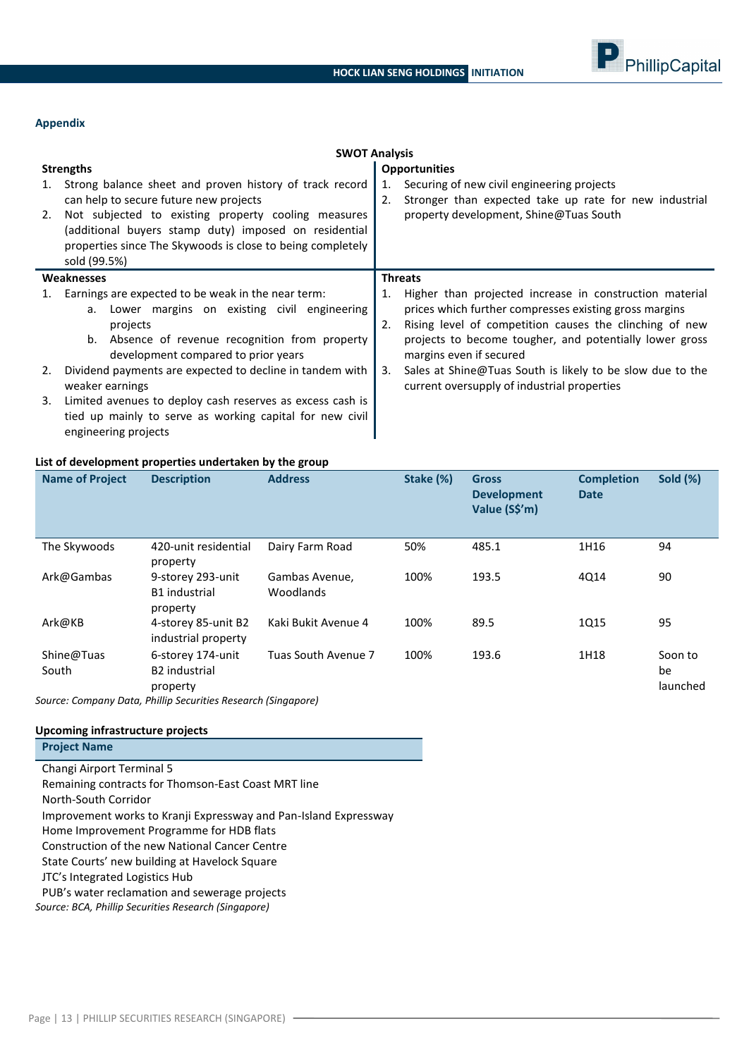

#### **Appendix**

|                                                                                                                                                                                                                                                                                                                                                                                                                                                              | <b>SWOT Analysis</b>                                                                                                                                                                                                                                                                                                                                                                             |  |  |  |  |  |
|--------------------------------------------------------------------------------------------------------------------------------------------------------------------------------------------------------------------------------------------------------------------------------------------------------------------------------------------------------------------------------------------------------------------------------------------------------------|--------------------------------------------------------------------------------------------------------------------------------------------------------------------------------------------------------------------------------------------------------------------------------------------------------------------------------------------------------------------------------------------------|--|--|--|--|--|
| <b>Strengths</b>                                                                                                                                                                                                                                                                                                                                                                                                                                             | <b>Opportunities</b>                                                                                                                                                                                                                                                                                                                                                                             |  |  |  |  |  |
| Strong balance sheet and proven history of track record<br>1.<br>can help to secure future new projects<br>Not subjected to existing property cooling measures<br>2.<br>(additional buyers stamp duty) imposed on residential<br>properties since The Skywoods is close to being completely<br>sold (99.5%)                                                                                                                                                  | Securing of new civil engineering projects<br>1.<br>2.<br>Stronger than expected take up rate for new industrial<br>property development, Shine@Tuas South                                                                                                                                                                                                                                       |  |  |  |  |  |
| <b>Weaknesses</b>                                                                                                                                                                                                                                                                                                                                                                                                                                            | <b>Threats</b>                                                                                                                                                                                                                                                                                                                                                                                   |  |  |  |  |  |
| Earnings are expected to be weak in the near term:<br>Lower margins on existing civil engineering<br>а.<br>projects<br>Absence of revenue recognition from property<br>b.<br>development compared to prior years<br>Dividend payments are expected to decline in tandem with<br>2.<br>weaker earnings<br>Limited avenues to deploy cash reserves as excess cash is<br>3.<br>tied up mainly to serve as working capital for new civil<br>engineering projects | Higher than projected increase in construction material<br>1.<br>prices which further compresses existing gross margins<br>2.<br>Rising level of competition causes the clinching of new<br>projects to become tougher, and potentially lower gross<br>margins even if secured<br>Sales at Shine@Tuas South is likely to be slow due to the<br>3.<br>current oversupply of industrial properties |  |  |  |  |  |

#### **List of development properties undertaken by the group**

| <b>Name of Project</b> | <b>Description</b>                                                                                                     | <b>Address</b>              | Stake (%) | <b>Gross</b><br><b>Development</b><br>Value (S\$'m) | <b>Completion</b><br><b>Date</b> | <b>Sold (%)</b>           |
|------------------------|------------------------------------------------------------------------------------------------------------------------|-----------------------------|-----------|-----------------------------------------------------|----------------------------------|---------------------------|
| The Skywoods           | 420-unit residential<br>property                                                                                       | Dairy Farm Road             | 50%       | 485.1                                               | 1H16                             | 94                        |
| Ark@Gambas             | 9-storey 293-unit<br><b>B1</b> industrial<br>property                                                                  | Gambas Avenue,<br>Woodlands | 100%      | 193.5                                               | 4Q14                             | 90                        |
| Ark@KB                 | 4-storey 85-unit B2<br>industrial property                                                                             | Kaki Bukit Avenue 4         | 100%      | 89.5                                                | <b>1Q15</b>                      | 95                        |
| Shine@Tuas<br>South    | 6-storey 174-unit<br><b>B2</b> industrial<br>property<br>Course: Company Data, Phillip Cosurities Pessarsh (Cinganoral | Tuas South Avenue 7         | 100%      | 193.6                                               | 1H18                             | Soon to<br>be<br>launched |

*Source: Company Data, Phillip Securities Research (Singapore)*

#### **Upcoming infrastructure projects**

**Project Name** Changi Airport Terminal 5 Remaining contracts for Thomson-East Coast MRT line North-South Corridor Improvement works to Kranji Expressway and Pan-Island Expressway Home Improvement Programme for HDB flats Construction of the new National Cancer Centre State Courts' new building at Havelock Square JTC's Integrated Logistics Hub PUB's water reclamation and sewerage projects

*Source: BCA, Phillip Securities Research (Singapore)*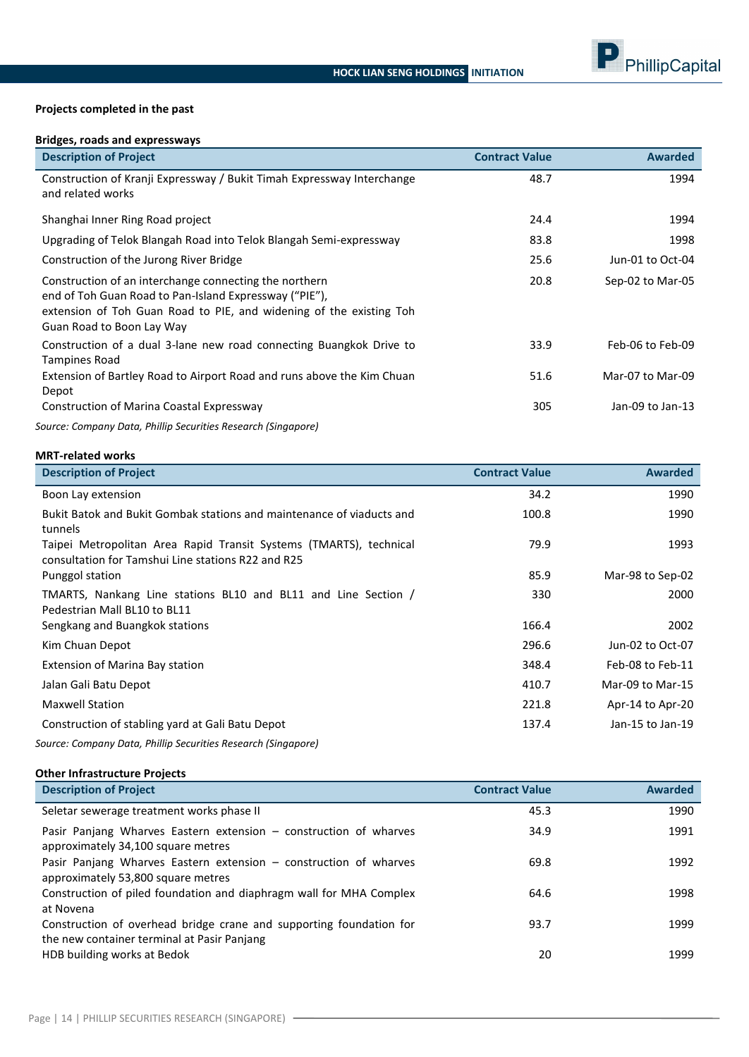

#### **Projects completed in the past**

# **Bridges, roads and expressways**

| <b>Description of Project</b>                                                                                                                                                                                        | <b>Contract Value</b> | <b>Awarded</b>   |
|----------------------------------------------------------------------------------------------------------------------------------------------------------------------------------------------------------------------|-----------------------|------------------|
| Construction of Kranji Expressway / Bukit Timah Expressway Interchange<br>and related works                                                                                                                          | 48.7                  | 1994             |
| Shanghai Inner Ring Road project                                                                                                                                                                                     | 24.4                  | 1994             |
| Upgrading of Telok Blangah Road into Telok Blangah Semi-expressway                                                                                                                                                   | 83.8                  | 1998             |
| Construction of the Jurong River Bridge                                                                                                                                                                              | 25.6                  | Jun-01 to Oct-04 |
| Construction of an interchange connecting the northern<br>end of Toh Guan Road to Pan-Island Expressway ("PIE"),<br>extension of Toh Guan Road to PIE, and widening of the existing Toh<br>Guan Road to Boon Lay Way | 20.8                  | Sep-02 to Mar-05 |
| Construction of a dual 3-lane new road connecting Buangkok Drive to<br><b>Tampines Road</b>                                                                                                                          | 33.9                  | Feb-06 to Feb-09 |
| Extension of Bartley Road to Airport Road and runs above the Kim Chuan<br>Depot                                                                                                                                      | 51.6                  | Mar-07 to Mar-09 |
| Construction of Marina Coastal Expressway<br>Connocer Constanter Data Dhillia Compilian Document (Ciamamora).                                                                                                        | 305                   | Jan-09 to Jan-13 |

*Source: Company Data, Phillip Securities Research (Singapore)*

# **MRT-related works**

| <b>Description of Project</b>                                                                                            | <b>Contract Value</b> | <b>Awarded</b>   |
|--------------------------------------------------------------------------------------------------------------------------|-----------------------|------------------|
| Boon Lay extension                                                                                                       | 34.2                  | 1990             |
| Bukit Batok and Bukit Gombak stations and maintenance of viaducts and<br>tunnels                                         | 100.8                 | 1990             |
| Taipei Metropolitan Area Rapid Transit Systems (TMARTS), technical<br>consultation for Tamshui Line stations R22 and R25 | 79.9                  | 1993             |
| Punggol station                                                                                                          | 85.9                  | Mar-98 to Sep-02 |
| TMARTS, Nankang Line stations BL10 and BL11 and Line Section /<br>Pedestrian Mall BL10 to BL11                           | 330                   | 2000             |
| Sengkang and Buangkok stations                                                                                           | 166.4                 | 2002             |
| Kim Chuan Depot                                                                                                          | 296.6                 | Jun-02 to Oct-07 |
| Extension of Marina Bay station                                                                                          | 348.4                 | Feb-08 to Feb-11 |
| Jalan Gali Batu Depot                                                                                                    | 410.7                 | Mar-09 to Mar-15 |
| <b>Maxwell Station</b>                                                                                                   | 221.8                 | Apr-14 to Apr-20 |
| Construction of stabling yard at Gali Batu Depot                                                                         | 137.4                 | Jan-15 to Jan-19 |

*Source: Company Data, Phillip Securities Research (Singapore)*

# **Other Infrastructure Projects**

| <b>Description of Project</b>                                                                                      | <b>Contract Value</b> | <b>Awarded</b> |
|--------------------------------------------------------------------------------------------------------------------|-----------------------|----------------|
| Seletar sewerage treatment works phase II                                                                          | 45.3                  | 1990           |
| Pasir Panjang Wharves Eastern extension – construction of wharves<br>approximately 34,100 square metres            | 34.9                  | 1991           |
| Pasir Panjang Wharves Eastern extension – construction of wharves<br>approximately 53,800 square metres            | 69.8                  | 1992           |
| Construction of piled foundation and diaphragm wall for MHA Complex<br>at Novena                                   | 64.6                  | 1998           |
| Construction of overhead bridge crane and supporting foundation for<br>the new container terminal at Pasir Panjang | 93.7                  | 1999           |
| HDB building works at Bedok                                                                                        | 20                    | 1999           |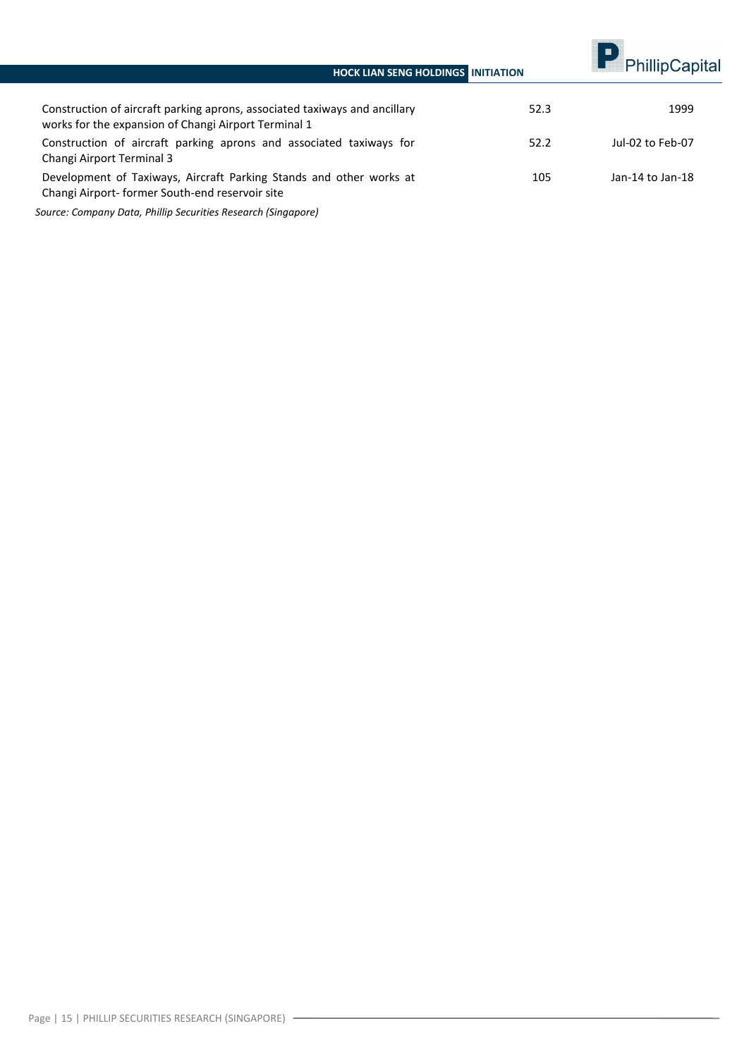# **HOCK LIAN SENG HOLDINGS INITIATION**



| Construction of aircraft parking aprons, associated taxiways and ancillary<br>works for the expansion of Changi Airport Terminal 1 | 52.3 | 1999             |
|------------------------------------------------------------------------------------------------------------------------------------|------|------------------|
| Construction of aircraft parking aprons and associated taxiways for<br>Changi Airport Terminal 3                                   | 52.2 | Jul-02 to Feb-07 |
| Development of Taxiways, Aircraft Parking Stands and other works at<br>Changi Airport- former South-end reservoir site             | 105  | Jan-14 to Jan-18 |

*Source: Company Data, Phillip Securities Research (Singapore)*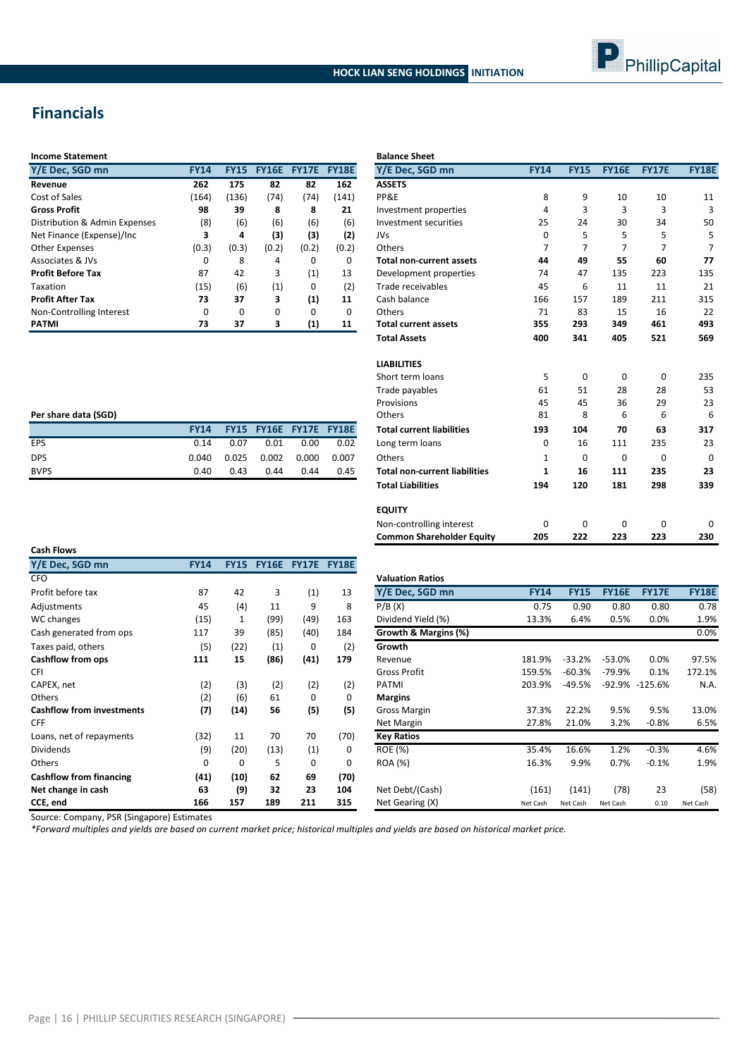

# **Financials**

| <b>Income Statement</b> |  |
|-------------------------|--|
|-------------------------|--|

| Y/E Dec, SGD mn               | <b>FY14</b> | <b>FY15</b> | <b>FY16E</b> | <b>FY17E</b> | <b>FY18E</b> | Y/E De        |
|-------------------------------|-------------|-------------|--------------|--------------|--------------|---------------|
| Revenue                       | 262         | 175         | 82           | 82           | 162          | <b>ASSETS</b> |
| Cost of Sales                 | (164)       | (136)       | (74)         | (74)         | (141)        | PP&E          |
| <b>Gross Profit</b>           | 98          | 39          | 8            | 8            | 21           | Investm       |
| Distribution & Admin Expenses | (8)         | (6)         | (6)          | (6)          | (6)          | Investm       |
| Net Finance (Expense)/Inc     | 3           | 4           | (3)          | (3)          | (2)          | <b>JVs</b>    |
| <b>Other Expenses</b>         | (0.3)       | (0.3)       | (0.2)        | (0.2)        | (0.2)        | <b>Others</b> |
| Associates & JVs              | 0           | 8           | 4            | 0            | 0            | Total no      |
| <b>Profit Before Tax</b>      | 87          | 42          | 3            | (1)          | 13           | Develor       |
| Taxation                      | (15)        | (6)         | (1)          | 0            | (2)          | Trade r       |
| <b>Profit After Tax</b>       | 73          | 37          | 3            | (1)          | 11           | Cash ba       |
| Non-Controlling Interest      | $\Omega$    | $\Omega$    | $\Omega$     | $\Omega$     | $\Omega$     | <b>Others</b> |
| <b>PATMI</b>                  | 73          | 37          | 3            | (1)          | 11           | Total cu      |

| <b>Income Statement</b>       |             |             |              |              |              | <b>Balance Sheet</b>                 |                |             |                |              |              |
|-------------------------------|-------------|-------------|--------------|--------------|--------------|--------------------------------------|----------------|-------------|----------------|--------------|--------------|
| Y/E Dec, SGD mn               | <b>FY14</b> | <b>FY15</b> | <b>FY16E</b> | <b>FY17E</b> | <b>FY18E</b> | Y/E Dec, SGD mn                      | <b>FY14</b>    | <b>FY15</b> | <b>FY16E</b>   | <b>FY17E</b> | <b>FY18E</b> |
| Revenue                       | 262         | 175         | 82           | 82           | 162          | <b>ASSETS</b>                        |                |             |                |              |              |
| Cost of Sales                 | (164)       | (136)       | (74)         | (74)         | (141)        | PP&E                                 | 8              | 9           | 10             | 10           | 11           |
| Gross Profit                  | 98          | 39          | 8            | 8            | 21           | Investment properties                | 4              | 3           | 3              | 3            | 3            |
| Distribution & Admin Expenses | (8)         | (6)         | (6)          | (6)          | (6)          | Investment securities                | 25             | 24          | 30             | 34           | 50           |
| Net Finance (Expense)/Inc     | 3           | 4           | (3)          | (3)          | (2)          | <b>JVs</b>                           | $\Omega$       | 5           | 5              | 5            | 5            |
| <b>Other Expenses</b>         | (0.3)       | (0.3)       | (0.2)        | (0.2)        | (0.2)        | Others                               | $\overline{7}$ | 7           | $\overline{7}$ | 7            |              |
| Associates & JVs              | $\Omega$    | 8           | 4            | $\Omega$     | $\mathbf 0$  | <b>Total non-current assets</b>      | 44             | 49          | 55             | 60           | 77           |
| <b>Profit Before Tax</b>      | 87          | 42          | 3            | (1)          | 13           | Development properties               | 74             | 47          | 135            | 223          | 135          |
| <b>Taxation</b>               | (15)        | (6)         | (1)          | 0            | (2)          | Trade receivables                    | 45             | 6           | 11             | 11           | 21           |
| <b>Profit After Tax</b>       | 73          | 37          | 3            | (1)          | 11           | Cash balance                         | 166            | 157         | 189            | 211          | 315          |
| Non-Controlling Interest      | $\mathbf 0$ | 0           | $\Omega$     | $\mathbf 0$  | $\mathbf 0$  | Others                               | 71             | 83          | 15             | 16           | 22           |
| PATMI                         | 73          | 37          | з            | (1)          | 11           | <b>Total current assets</b>          | 355            | 293         | 349            | 461          | 493          |
|                               |             |             |              |              |              | <b>Total Assets</b>                  | 400            | 341         | 405            | 521          | 569          |
|                               |             |             |              |              |              | <b>LIABILITIES</b>                   |                |             |                |              |              |
|                               |             |             |              |              |              | Short term loans                     | 5              | 0           | 0              | 0            | 235          |
|                               |             |             |              |              |              | Trade payables                       | 61             | 51          | 28             | 28           | 53           |
|                               |             |             |              |              |              | Provisions                           | 45             | 45          | 36             | 29           | 23           |
| Per share data (SGD)          |             |             |              |              |              | Others                               | 81             | 8           | 6              | 6            | 6            |
|                               | <b>FY14</b> | <b>FY15</b> | <b>FY16E</b> | FY17E FY18E  |              | <b>Total current liabilities</b>     | 193            | 104         | 70             | 63           | 317          |
| EPS                           | 0.14        | 0.07        | 0.01         | 0.00         | 0.02         | Long term loans                      | 0              | 16          | 111            | 235          | 23           |
| <b>DPS</b>                    | 0.040       | 0.025       | 0.002        | 0.000        | 0.007        | Others                               | 1              | 0           | $\mathbf 0$    | $\mathbf 0$  | $\Omega$     |
| <b>BVPS</b>                   | 0.40        | 0.43        | 0.44         | 0.44         | 0.45         | <b>Total non-current liabilities</b> | 1              | 16          | 111            | 235          | 23           |
|                               |             |             |              |              |              | <b>Total Liabilities</b>             | 194            | 120         | 181            | 298          | 339          |
|                               |             |             |              |              |              | <b>EQUITY</b>                        |                |             |                |              |              |
|                               |             |             |              |              |              | Non-controlling interest             | 0              | 0           | $\mathbf 0$    | $\mathbf 0$  | 0            |
|                               |             |             |              |              |              | <b>Common Shareholder Equity</b>     | 205            | 222         | 223            | 223          | 230          |

| Per share data (SGD) |             |      |                               |       |       |
|----------------------|-------------|------|-------------------------------|-------|-------|
|                      | <b>FY14</b> |      | <b>FY15 FY16E FY17E FY18E</b> |       |       |
| EPS                  | 0.14        | 0.07 | 0.01                          | 0.00  | 0.02  |
| <b>DPS</b>           | 0.040       |      | $0.025$ 0.002                 | 0.000 | 0.007 |
| <b>BVPS</b>          | 0.40        | 0.43 | 0.44                          | 0.44  | 0.45  |
|                      |             |      |                               |       |       |

| <b>Cash Flows</b>                |             |             |              |              |              |                         |             |             |              |                |             |
|----------------------------------|-------------|-------------|--------------|--------------|--------------|-------------------------|-------------|-------------|--------------|----------------|-------------|
| Y/E Dec, SGD mn                  | <b>FY14</b> | <b>FY15</b> | <b>FY16E</b> | <b>FY17E</b> | <b>FY18E</b> |                         |             |             |              |                |             |
| <b>CFO</b>                       |             |             |              |              |              | <b>Valuation Ratios</b> |             |             |              |                |             |
| Profit before tax                | 87          | 42          | 3            | (1)          | 13           | Y/E Dec, SGD mn         | <b>FY14</b> | <b>FY15</b> | <b>FY16E</b> | <b>FY17E</b>   | <b>FY18</b> |
| Adjustments                      | 45          | (4)         | 11           | 9            | 8            | P/B(X)                  | 0.75        | 0.90        | 0.80         | 0.80           | 0.          |
| WC changes                       | (15)        | 1           | (99)         | (49)         | 163          | Dividend Yield (%)      | 13.3%       | 6.4%        | 0.5%         | 0.0%           | 1.9         |
| Cash generated from ops          | 117         | 39          | (85)         | (40)         | 184          | Growth & Margins (%)    |             |             |              |                | 0.0         |
| Taxes paid, others               | (5)         | (22)        | (1)          | 0            | (2)          | Growth                  |             |             |              |                |             |
| Cashflow from ops                | 111         | 15          | (86)         | (41)         | 179          | Revenue                 | 181.9%      | $-33.2%$    | $-53.0%$     | 0.0%           | 97.5        |
| CFI                              |             |             |              |              |              | <b>Gross Profit</b>     | 159.5%      | $-60.3%$    | -79.9%       | 0.1%           | 172.1       |
| CAPEX, net                       | (2)         | (3)         | (2)          | (2)          | (2)          | PATMI                   | 203.9%      | $-49.5%$    |              | -92.9% -125.6% | N.          |
| <b>Others</b>                    | (2)         | (6)         | 61           | $\Omega$     | 0            | <b>Margins</b>          |             |             |              |                |             |
| <b>Cashflow from investments</b> | (7)         | (14)        | 56           | (5)          | (5)          | <b>Gross Margin</b>     | 37.3%       | 22.2%       | 9.5%         | 9.5%           | 13.0        |
| <b>CFF</b>                       |             |             |              |              |              | Net Margin              | 27.8%       | 21.0%       | 3.2%         | $-0.8%$        | 6.5         |
| Loans, net of repayments         | (32)        | 11          | 70           | 70           | (70)         | <b>Key Ratios</b>       |             |             |              |                |             |
| <b>Dividends</b>                 | (9)         | (20)        | (13)         | (1)          | 0            | <b>ROE (%)</b>          | 35.4%       | 16.6%       | 1.2%         | $-0.3%$        | 4.6         |
| Others                           | 0           | 0           | 5            | 0            | 0            | ROA (%)                 | 16.3%       | 9.9%        | 0.7%         | $-0.1%$        | 1.9         |
| <b>Cashflow from financing</b>   | (41)        | (10)        | 62           | 69           | (70)         |                         |             |             |              |                |             |
| Net change in cash               | 63          | (9)         | 32           | 23           | 104          | Net Debt/(Cash)         | (161)       | (141)       | (78)         | 23             | (5          |
| CCE, end                         | 166         | 157         | 189          | 211          | 315          | Net Gearing (X)         | Net Cash    | Net Cash    | Net Cash     | 0.10           | Net Cash    |

| CFO                              |          |      |      |             |      | <b>Valuation Ratios</b> |             |             |              |                |              |
|----------------------------------|----------|------|------|-------------|------|-------------------------|-------------|-------------|--------------|----------------|--------------|
| Profit before tax                | 87       | 42   | 3    | (1)         | 13   | Y/E Dec, SGD mn         | <b>FY14</b> | <b>FY15</b> | <b>FY16E</b> | <b>FY17E</b>   | <b>FY18E</b> |
| Adjustments                      | 45       | (4)  | 11   | 9           | 8    | P/B(X)                  | 0.75        | 0.90        | 0.80         | 0.80           | 0.78         |
| WC changes                       | (15)     | 1    | (99) | (49)        | 163  | Dividend Yield (%)      | 13.3%       | 6.4%        | 0.5%         | 0.0%           | 1.9%         |
| Cash generated from ops          | 117      | 39   | (85) | (40)        | 184  | Growth & Margins (%)    |             |             |              |                | 0.0%         |
| Taxes paid, others               | (5)      | (22) | (1)  | 0           | (2)  | Growth                  |             |             |              |                |              |
| <b>Cashflow from ops</b>         | 111      | 15   | (86) | (41)        | 179  | Revenue                 | 181.9%      | $-33.2%$    | -53.0%       | 0.0%           | 97.5%        |
| CFI                              |          |      |      |             |      | <b>Gross Profit</b>     | 159.5%      | $-60.3%$    | -79.9%       | 0.1%           | 172.1%       |
| CAPEX, net                       | (2)      | (3)  | (2)  | (2)         | (2)  | PATMI                   | 203.9%      | -49.5%      |              | -92.9% -125.6% | N.A.         |
| Others                           | (2)      | (6)  | 61   | 0           | 0    | <b>Margins</b>          |             |             |              |                |              |
| <b>Cashflow from investments</b> | (7)      | (14) | 56   | (5)         | (5)  | <b>Gross Margin</b>     | 37.3%       | 22.2%       | 9.5%         | 9.5%           | 13.0%        |
| CFF                              |          |      |      |             |      | Net Margin              | 27.8%       | 21.0%       | 3.2%         | $-0.8%$        | 6.5%         |
| Loans, net of repayments         | (32)     | 11   | 70   | 70          | (70) | <b>Key Ratios</b>       |             |             |              |                |              |
| <b>Dividends</b>                 | (9)      | (20) | (13) | (1)         | 0    | <b>ROE</b> (%)          | 35.4%       | 16.6%       | 1.2%         | $-0.3%$        | 4.6%         |
| Others                           | $\Omega$ | 0    | 5    | $\mathbf 0$ | 0    | <b>ROA</b> (%)          | 16.3%       | 9.9%        | 0.7%         | $-0.1%$        | 1.9%         |
| <b>Cashflow from financing</b>   | (41)     | (10) | 62   | 69          | (70) |                         |             |             |              |                |              |
| Net change in cash               | 63       | (9)  | 32   | 23          | 104  | Net Debt/(Cash)         | (161)       | (141)       | (78)         | 23             | (58)         |
| CCE, end                         | 166      | 157  | 189  | 211         | 315  | Net Gearing (X)         | Net Cash    | Net Cash    | Net Cash     | 0.10           | Net Cash     |

Source: Company, PSR (Singapore) Estimates

*\*Forward multiples and yields are based on current market price; historical multiples and yields are based on historical market price.*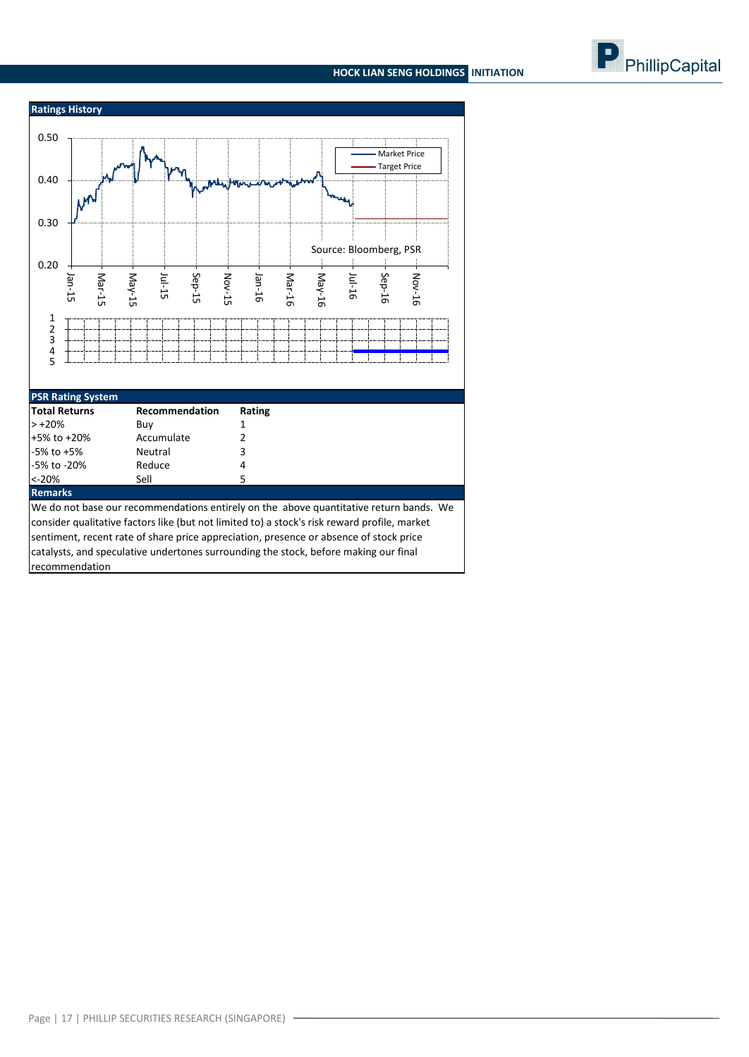# **HOCK LIAN SENG HOLDINGS INITIATION**



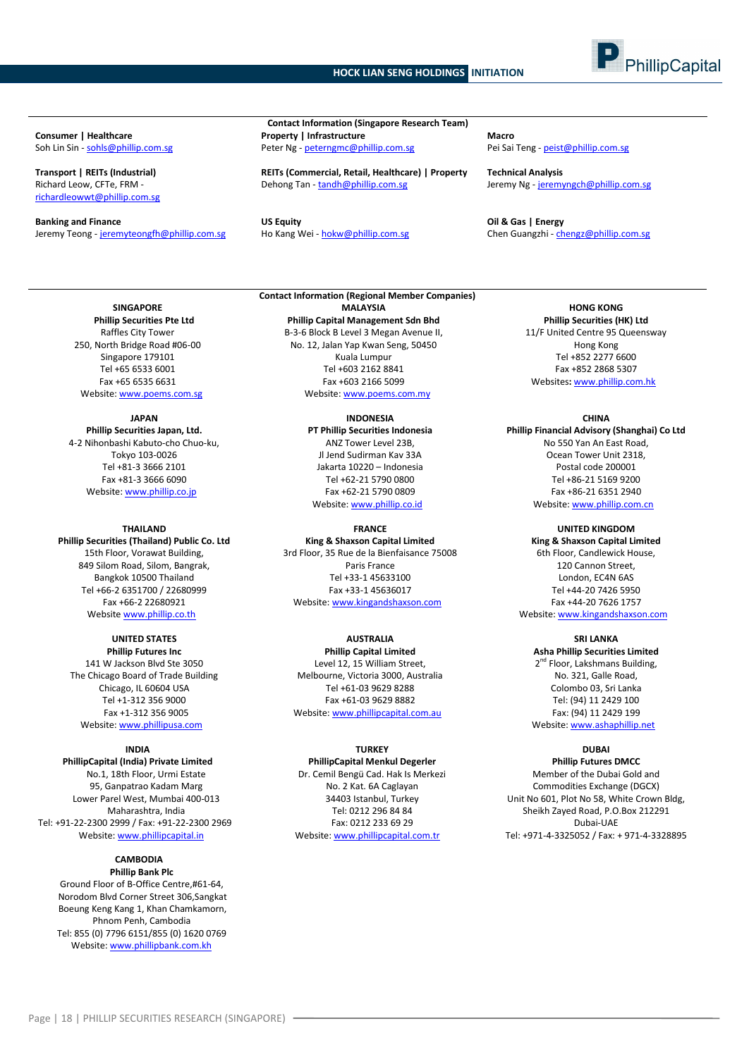

Richard Leow, CFTe, FRM [richardleowwt@phillip.com.sg](mailto:richardleowwt@phillip.com.sg)

**Banking and Finance Component Component Component Component Component Component Component Component Component Component Component Component Component Component Component Component Component Component Component Component** Jeremy Teong - [jeremyteongfh@phillip.com.sg](mailto:jeremyteongfh@phillip.com.sg) Ho Kang Wei - [hokw@phillip.com.sg](mailto:hokw@phillip.com.sg)

**Contact Information (Singapore Research Team) Consumer | Healthcare Property | Infrastructure Macro** Soh Lin Sin - [sohls@phillip.com.sg](mailto:sohls@phillip.com.sg) enter Ng - peter Ng - [peterngmc@phillip.com.sg](mailto:peterngmc@phillip.com.sg) Pei Sai Teng - [peist@phillip.com.sg](mailto:peist@phillip.com.sg)

**Transport | REITs (Industrial) REITs (Commercial, Retail, Healthcare) | Property Technical Analysis** Dehong Tan - [tandh@phillip.com.sg](mailto:tandh@phillip.com.sg) Jeremy Ng - [jeremyngch@phillip.com.sg](mailto:jeremyngch@phillip.com.sg)

**SINGAPORE Phillip Securities Pte Ltd** Raffles City Tower 250, North Bridge Road #06-00 Singapore 179101 Tel +65 6533 6001 Fax +65 6535 6631 Website[: www.poems.com.sg](http://www.poems.com.sg/)

**JAPAN Phillip Securities Japan, Ltd.** 4-2 Nihonbashi Kabuto-cho Chuo-ku, Tokyo 103-0026 Tel +81-3 3666 2101 Fax +81-3 3666 6090 Website[: www.phillip.co.jp](http://www.phillip.co.jp/)

**THAILAND Phillip Securities (Thailand) Public Co. Ltd** 15th Floor, Vorawat Building, 849 Silom Road, Silom, Bangrak, Bangkok 10500 Thailand Tel +66-2 6351700 / 22680999 Fax +66-2 22680921 Website [www.phillip.co.th](http://www.phillip.co.th/)

**UNITED STATES Phillip Futures Inc** 141 W Jackson Blvd Ste 3050 The Chicago Board of Trade Building Chicago, IL 60604 USA Tel +1-312 356 9000 Fax +1-312 356 9005 Website[: www.phillipusa.com](http://www.phillipusa.com/)

**INDIA PhillipCapital (India) Private Limited** No.1, 18th Floor, Urmi Estate 95, Ganpatrao Kadam Marg Lower Parel West, Mumbai 400-013 Maharashtra, India Tel: +91-22-2300 2999 / Fax: +91-22-2300 2969 Website[: www.phillipcapital.in](http://www.phillipcapital.in/)

#### **CAMBODIA Phillip Bank Plc**

Ground Floor of B-Office Centre,#61-64, Norodom Blvd Corner Street 306,Sangkat Boeung Keng Kang 1, Khan Chamkamorn, Phnom Penh, Cambodia Tel: 855 (0) 7796 6151/855 (0) 1620 0769 Website[: www.phillipbank.com.kh](http://www.phillipbank.com.kh/)

**Contact Information (Regional Member Companies) MALAYSIA Phillip Capital Management Sdn Bhd** B-3-6 Block B Level 3 Megan Avenue II, No. 12, Jalan Yap Kwan Seng, 50450 Kuala Lumpur Tel +603 2162 8841 Fax +603 2166 5099 Website[: www.poems.com.my](http://www.poems.com.my/)

> **INDONESIA PT Phillip Securities Indonesia** ANZ Tower Level 23B, Jl Jend Sudirman Kav 33A Jakarta 10220 – Indonesia Tel +62-21 5790 0800 Fax +62-21 5790 0809 Website: [www.phillip.co.id](http://www.phillip.co.id/)

**FRANCE King & Shaxson Capital Limited** 3rd Floor, 35 Rue de la Bienfaisance 75008 Paris France Tel +33-1 45633100 Fax +33-1 45636017 Website[: www.kingandshaxson.com](http://www.kingandshaxson.com/)

**AUSTRALIA Phillip Capital Limited** Level 12, 15 William Street, Melbourne, Victoria 3000, Australia Tel +61-03 9629 8288 Fax +61-03 9629 8882 Website[: www.phillipcapital.com.au](http://www.phillipcapital.com.au/)

**TURKEY**

**PhillipCapital Menkul Degerler** Dr. Cemil Bengü Cad. Hak Is Merkezi No. 2 Kat. 6A Caglayan 34403 Istanbul, Turkey Tel: 0212 296 84 84 Fax: 0212 233 69 29 Website[: www.phillipcapital.com.tr](http://www.phillipcapital.com.tr/)

**HONG KONG Phillip Securities (HK) Ltd** 11/F United Centre 95 Queensway Hong Kong Tel +852 2277 6600 Fax +852 2868 5307 Websites**:** [www.phillip.com.hk](http://www.phillip.com.hk/)

**CHINA Phillip Financial Advisory (Shanghai) Co Ltd** No 550 Yan An East Road, Ocean Tower Unit 2318, Postal code 200001

Tel +86-21 5169 9200 Fax +86-21 6351 2940 Website[: www.phillip.com.cn](http://www.phillip.com.cn/)

**UNITED KINGDOM King & Shaxson Capital Limited** 6th Floor, Candlewick House, 120 Cannon Street, London, EC4N 6AS Tel +44-20 7426 5950 Fax +44-20 7626 1757

Website[: www.kingandshaxson.com](http://www.kingandshaxson.com/)

**SRI LANKA**

**Asha Phillip Securities Limited** 2<sup>nd</sup> Floor, Lakshmans Building, No. 321, Galle Road, Colombo 03, Sri Lanka Tel: (94) 11 2429 100 Fax: (94) 11 2429 199 Website[: www.ashaphillip.net](http://www.ashaphillip.net/)

**DUBAI**

**Phillip Futures DMCC** Member of the Dubai Gold and Commodities Exchange (DGCX) Unit No 601, Plot No 58, White Crown Bldg, Sheikh Zayed Road, P.O.Box 212291 Dubai-UAE Tel: +971-4-3325052 / Fax: + 971-4-3328895